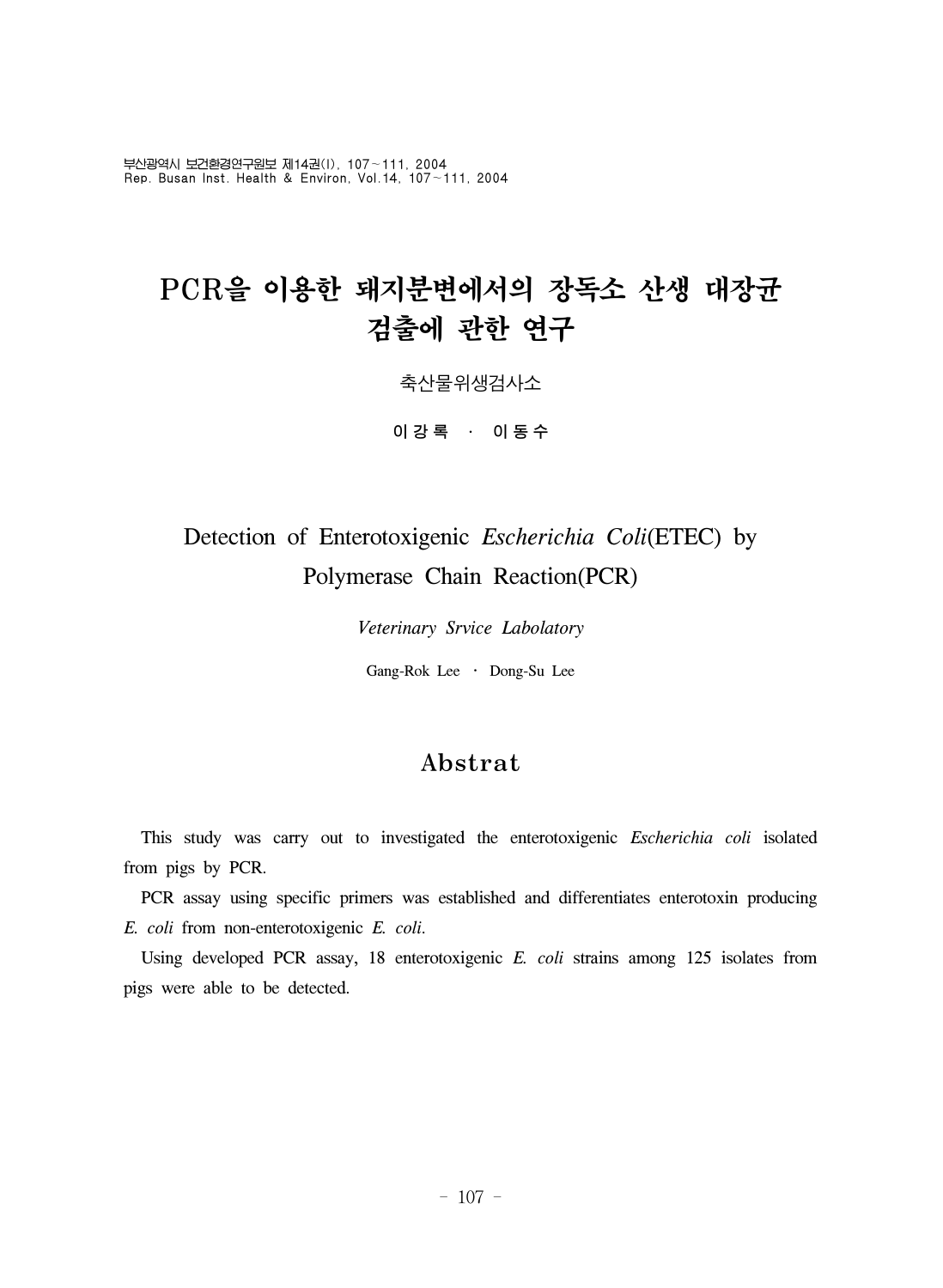부산광역시 보건환경연구원보 제14권(I), 107~111, 2004 Rep. Busan Inst. Health & Environ, Vol.14, 107~111, 2004

# PCR을 이용한 돼지분변에서의 장독소 산생 대장균 검출에 관한 연구

축산물위생검사소

이강록 ․ 이동수

# Detection of Enterotoxigenic *Escherichia Coli*(ETEC) by Polymerase Chain Reaction(PCR)

*Veterinary Srvice Labolatory*

Gang-Rok Lee ․ Dong-Su Lee

# Abstrat

 This study was carry out to investigated the enterotoxigenic *Escherichia coli* isolated from pigs by PCR.

 PCR assay using specific primers was established and differentiates enterotoxin producing *E. coli* from non-enterotoxigenic *E. coli*.

 Using developed PCR assay, 18 enterotoxigenic *E. coli* strains among 125 isolates from pigs were able to be detected.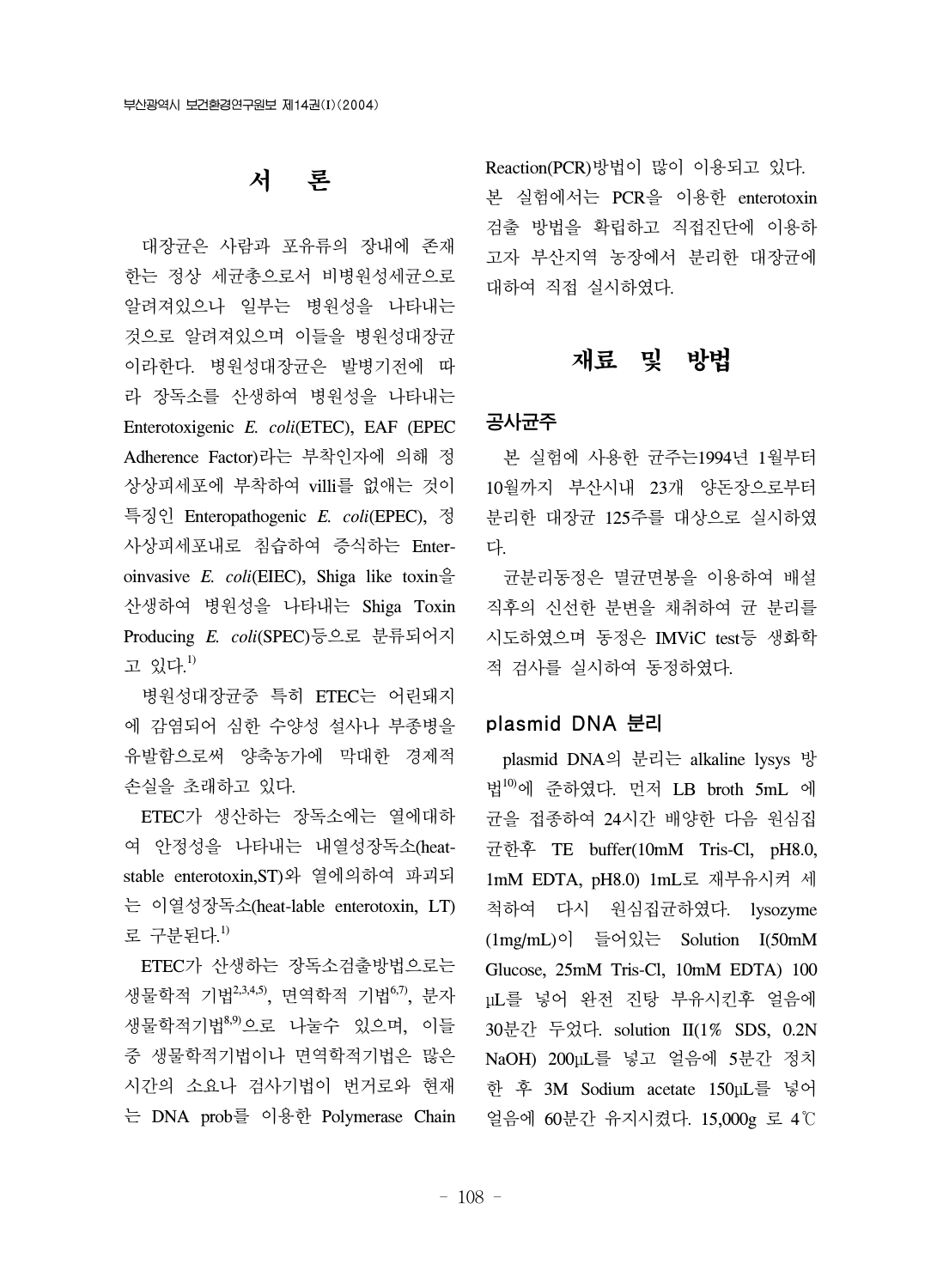# 서 론

 대장균은 사람과 포유류의 장내에 존재 한는 정상 세균총으로서 비병원성세균으로 알려져있으나 일부는 병원성을 나타내는 것으로 알려져있으며 이들을 병원성대장균 이라한다. 병원성대장균은 발병기전에 따 라 장독소를 산생하여 병원성을 나타내는 Enterotoxigenic *E. coli*(ETEC), EAF (EPEC Adherence Factor)라는 부착인자에 의해 정 상상피세포에 부착하여 villi를 없애는 것이 특징인 Enteropathogenic *E. coli*(EPEC), 정 사상피세포내로 침습하여 증식하는 Enteroinvasive *E. coli*(EIEC), Shiga like toxin을 산생하여 병원성을 나타내는 Shiga Toxin Producing *E. coli*(SPEC)등으로 분류되어지 고 있다. 1)

 병원성대장균중 특히 ETEC는 어린돼지 에 감염되어 심한 수양성 설사나 부종병을 유발함으로써 양축농가에 막대한 경제적 손실을 초래하고 있다.

 ETEC가 생산하는 장독소에는 열에대하 여 안정성을 나타내는 내열성장독소(heatstable enterotoxin,ST)와 열에의하여 파괴되 는 이열성장독소(heat-lable enterotoxin, LT) 로 구분된다.<sup>1)</sup>

 ETEC가 산생하는 장독소검출방법으로는 생물학적 기법<sup>2,3,4,5</sup>), 면역학적 기법<sup>6,7</sup>, 분자 생물학적기법8,9)으로 나눌수 있으며, 이들 중 생물학적기법이나 면역학적기법은 많은 시간의 소요나 검사기법이 번거로와 현재 는 DNA prob를 이용한 Polymerase Chain Reaction(PCR)방법이 많이 이용되고 있다. 본 실험에서는 PCR을 이용한 enterotoxin 검출 방법을 확립하고 직접진단에 이용하 고자 부산지역 농장에서 분리한 대장균에 대하여 직접 실시하였다.

### 재료 및 방법

### 공사균주

 본 실험에 사용한 균주는1994년 1월부터 10월까지 부산시내 23개 양돈장으로부터 분리한 대장균 125주를 대상으로 실시하였 다.

 균분리동정은 멸균면봉을 이용하여 배설 직후의 신선한 분변을 채취하여 균 분리를 시도하였으며 동정은 IMViC test등 생화학 적 검사를 실시하여 동정하였다.

#### plasmid DNA 분리

 plasmid DNA의 분리는 alkaline lysys 방 법10)에 준하였다. 먼저 LB broth 5mL 에 균을 접종하여 24시간 배양한 다음 원심집 균한후 TE buffer(10mM Tris-Cl, pH8.0, 1mM EDTA, pH8.0) 1mL로 재부유시켜 세 척하여 다시 원심집균하였다. lysozyme (1mg/mL)이 들어있는 Solution I(50mM Glucose, 25mM Tris-Cl, 10mM EDTA) 100 μL를 넣어 완전 진탕 부유시킨후 얼음에 30분간 두었다. solution II(1% SDS, 0.2N NaOH) 200μL를 넣고 얼음에 5분간 정치 한 후 3M Sodium acetate 150μL를 넣어 얼음에 60분간 유지시켰다. 15,000g 로 4℃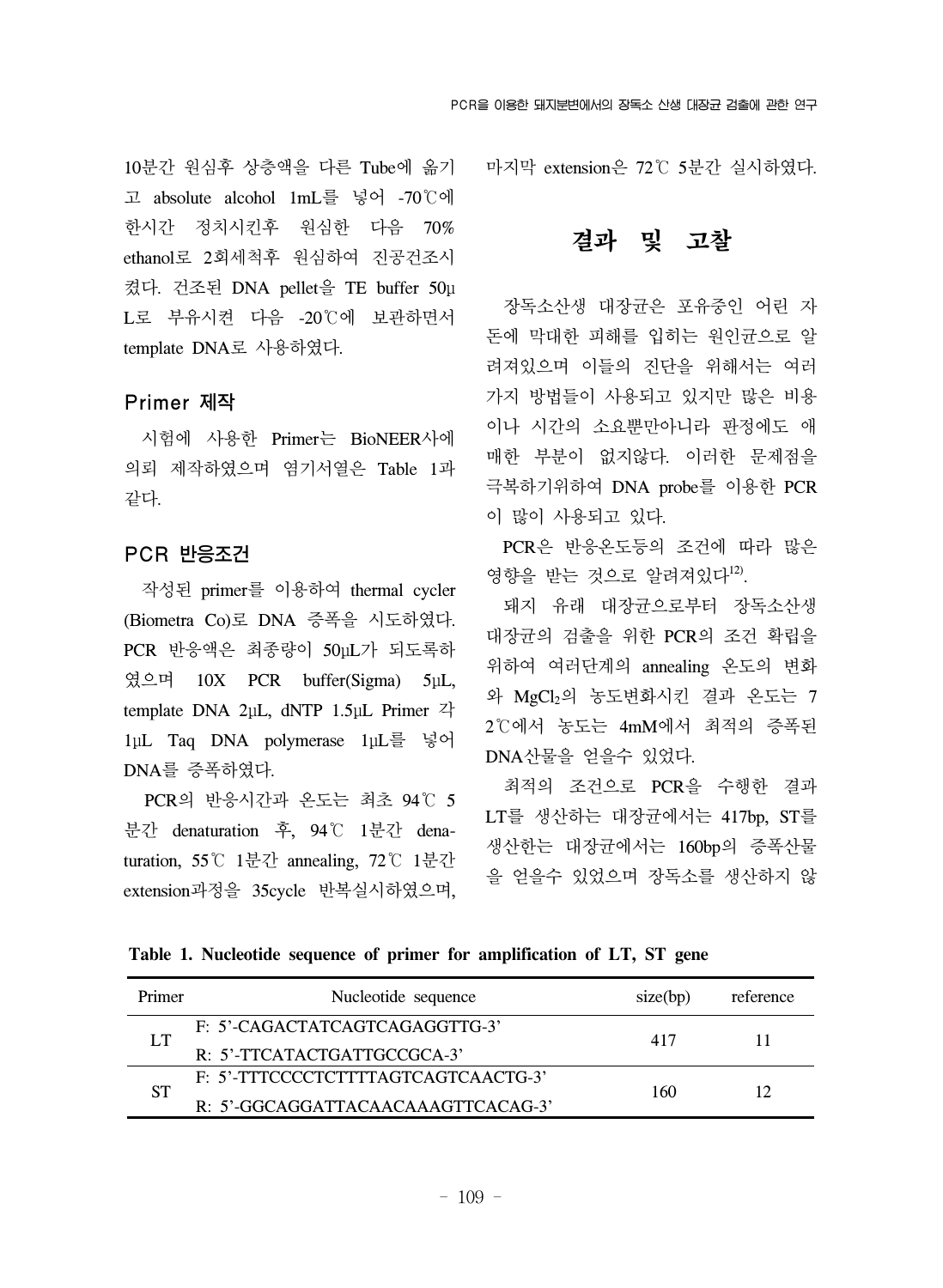10분간 원심후 상층액을 다른 Tube에 옮기 고 absolute alcohol 1mL를 넣어 -70℃에 한시간 정치시킨후 원심한 다음 70% ethanol로 2회세척후 원심하여 진공건조시 켰다. 건조된 DNA pellet을 TE buffer 50μ L로 부유시켠 다음 -20℃에 보관하면서 template DNA로 사용하였다.

### Primer 제작

 시험에 사용한 Primer는 BioNEER사에 의뢰 제작하였으며 염기서열은 Table 1과 같다.

### PCR 반응조건

 작성된 primer를 이용하여 thermal cycler (Biometra Co)로 DNA 증폭을 시도하였다. PCR 반응액은 최종량이 50μL가 되도록하 였으며 10X PCR buffer(Sigma) 5μL, template DNA 2μL, dNTP 1.5μL Primer 각 1μL Taq DNA polymerase 1μL를 넣어 DNA를 증폭하였다.

 PCR의 반응시간과 온도는 최초 94℃ 5 분간 denaturation 후, 94℃ 1분간 denaturation, 55℃ 1분간 annealing, 72℃ 1분간 extension과정을 35cycle 반복실시하였으며, 마지막 extension은 72℃ 5분간 실시하였다.

## 결과 및 고찰

 장독소산생 대장균은 포유중인 어린 자 돈에 막대한 피해를 입히는 원인균으로 알 려져있으며 이들의 진단을 위해서는 여러 가지 방법들이 사용되고 있지만 많은 비용 이나 시간의 소요뿐만아니라 판정에도 애 매한 부분이 없지않다. 이러한 문제점을 극복하기위하여 DNA probe를 이용한 PCR 이 많이 사용되고 있다.

 PCR은 반응온도등의 조건에 따라 많은 영향을 받는 것으로 알려져있다<sup>12)</sup>.

 돼지 유래 대장균으로부터 장독소산생 대장균의 검출을 위한 PCR의 조건 확립을 위하여 여러단계의 annealing 온도의 변화 와 MgCl2의 농도변화시킨 결과 온도는 7 2℃에서 농도는 4mM에서 최적의 증폭된 DNA산물을 얻을수 있었다.

 최적의 조건으로 PCR을 수행한 결과 LT를 생산하는 대장균에서는 417bp, ST를 생산한는 대장균에서는 160bp의 증폭산물 을 얻을수 있었으며 장독소를 생산하지 않

**Table 1. Nucleotide sequence of primer for amplification of LT, ST gene**

| Primer    | Nucleotide sequence                 | size(bp) | reference |
|-----------|-------------------------------------|----------|-----------|
|           | F: 5'-CAGACTATCAGTCAGAGGTTG-3'      | 417      |           |
|           | R: 5'-TTCATACTGATTGCCGCA-3'         |          |           |
| <b>ST</b> | F: 5'-TTTCCCCTCTTTTAGTCAGTCAACTG-3' | 160      | 12        |
|           | R: 5'-GGCAGGATTACAACAAAGTTCACAG-3'  |          |           |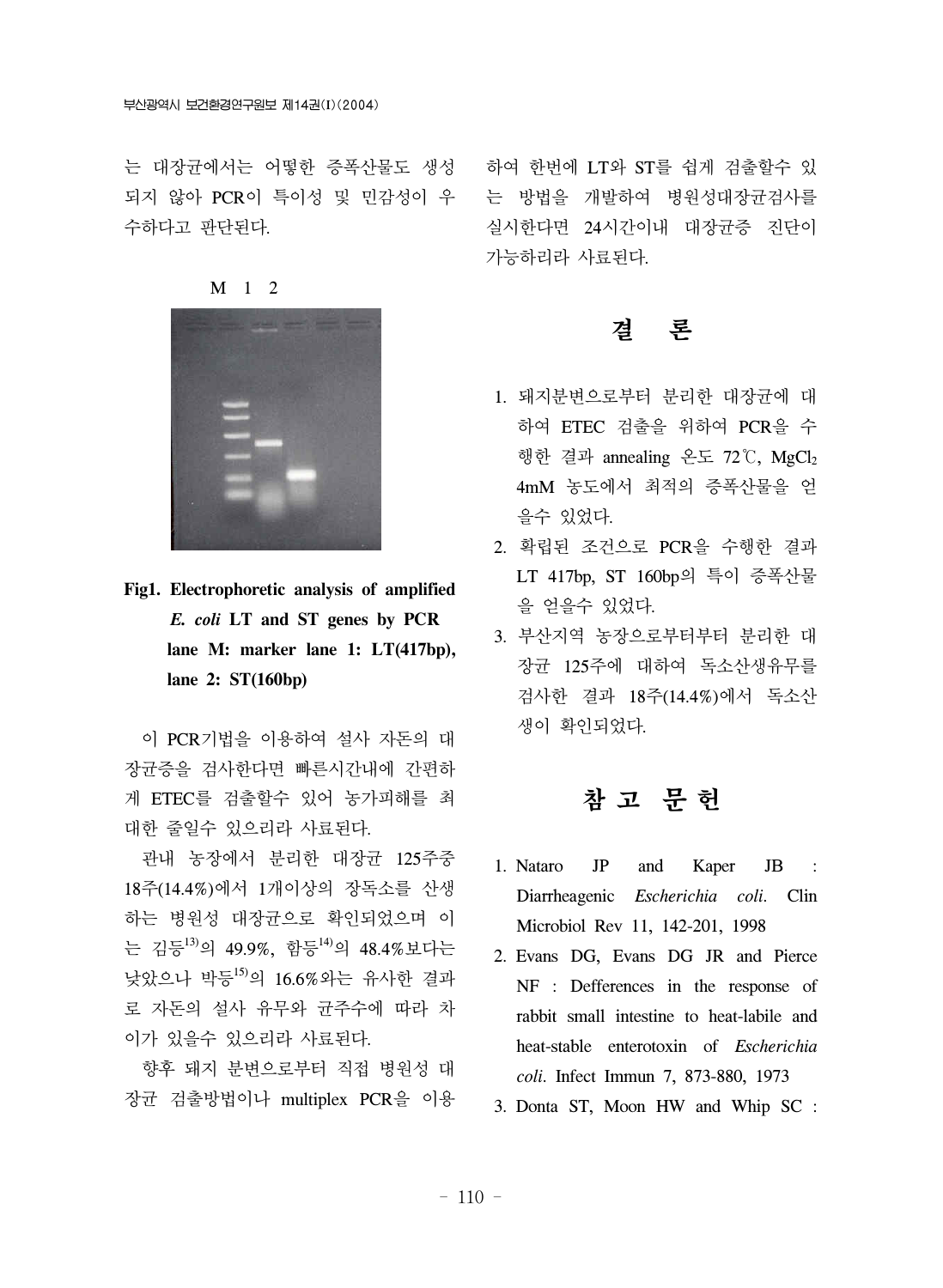는 대장균에서는 어떻한 증폭산물도 생성 되지 않아 PCR이 특이성 및 민감성이 우 수하다고 판단된다.

M 1 2



**Fig1. Electrophoretic analysis of amplified**  *E. coli* **LT and ST genes by PCR lane M: marker lane 1: LT(417bp), lane 2: ST(160bp)** 

 이 PCR기법을 이용하여 설사 자돈의 대 장균증을 검사한다면 빠른시간내에 간편하 게 ETEC를 검출할수 있어 농가피해를 최 대한 줄일수 있으리라 사료된다.

 관내 농장에서 분리한 대장균 125주중 18주(14.4%)에서 1개이상의 장독소를 산생 하는 병원성 대장균으로 확인되었으며 이 는 김등13)의 49.9%, 함등14)의 48.4%보다는 낮았으나 박등15)의 16.6%와는 유사한 결과 로 자돈의 설사 유무와 균주수에 따라 차 이가 있을수 있으리라 사료된다.

 향후 돼지 분변으로부터 직접 병원성 대 장균 검출방법이나 multiplex PCR을 이용

하여 한번에 LT와 ST를 쉽게 검출할수 있 는 방법을 개발하여 병원성대장균검사를 실시한다면 24시간이내 대장균증 진단이 가능하리라 사료된다.

### 결 론

- 1. 돼지분변으로부터 분리한 대장균에 대 하여 ETEC 검출을 위하여 PCR을 수 행한 결과 annealing 온도 72℃, MgCl2 4mM 농도에서 최적의 증폭산물을 얻 을수 있었다.
- 2. 확립된 조건으로 PCR을 수행한 결과 LT 417bp, ST 160bp의 특이 증폭산물 을 얻을수 있었다.
- 3. 부산지역 농장으로부터부터 분리한 대 장균 125주에 대하여 독소산생유무를 검사한 결과 18주(14.4%)에서 독소산 생이 확인되었다.

## 참 고 문 헌

- 1. Nataro JP and Kaper JB : Diarrheagenic *Escherichia coli*. Clin Microbiol Rev 11, 142-201, 1998
- 2. Evans DG, Evans DG JR and Pierce NF : Defferences in the response of rabbit small intestine to heat-labile and heat-stable enterotoxin of *Escherichia coli*. Infect Immun 7, 873-880, 1973
- 3. Donta ST, Moon HW and Whip SC :